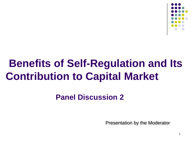

# **Benefits of Self-Regulation and Its Contribution to Capital Market**

#### **Panel Discussion 2**

Presentation by the Moderator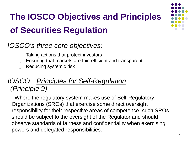### **The IOSCO Objectives and Principles of Securities Regulation**

#### *IOSCO's three core objectives:*

- **ü** Taking actions that protect investors
- ü Ensuring that markets are fair, efficient and transparent
- **ü** Reducing systemic risk

#### *IOSCO Principles for Self-Regulation (Principle 9)*

Where the regulatory system makes use of Self-Regulatory Organizations (SROs) that exercise some direct oversight responsibility for their respective areas of competence, such SROs should be subject to the oversight of the Regulator and should observe standards of fairness and confidentiality when exercising powers and delegated responsibilities.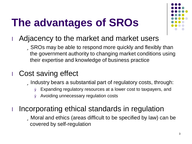# **The advantages of SROs**



#### **I** Adjacency to the market and market users

üSROs may be able to respond more quickly and flexibly than the government authority to changing market conditions using their expertise and knowledge of business practice

#### **I** Cost saving effect

**ülndustry bears a substantial part of regulatory costs, through:** 

- Ø Expanding regulatory resources at a lower cost to taxpayers, and
- Ø Avoiding unnecessary regulation costs

#### Incorporating ethical standards in regulation

üMoral and ethics (areas difficult to be specified by law) can be covered by self-regulation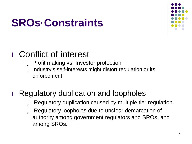# **SROs' Constraints**



### **I** Conflict of interest

- **ü** Profit making vs. Investor protection
- ü Industry's self-interests might distort regulation or its enforcement

### Regulatory duplication and loopholes

- ü Regulatory duplication caused by multiple tier regulation.
- ü Regulatory loopholes due to unclear demarcation of authority among government regulators and SROs, and among SROs.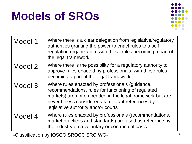# **Models of SROs**



| Model 1 | Where there is a clear delegation from legislative/regulatory<br>authorities granting the power to enact rules to a self<br>regulation organization, with those rules becoming a part of<br>the legal framework                                                |
|---------|----------------------------------------------------------------------------------------------------------------------------------------------------------------------------------------------------------------------------------------------------------------|
| Model 2 | Where there is the possibility for a regulatory authority to<br>approve rules enacted by professionals, with those rules<br>becoming a part of the legal framework;                                                                                            |
| Model 3 | Where rules enacted by professionals (guidance,<br>recommendations, rules for functioning of regulated<br>markets) are not embedded in the legal framework but are<br>nevertheless considered as relevant references by<br>legislative authority and/or courts |
| Model 4 | Where rules enacted by professionals (recommendations,<br>market practices and standards) are used as reference by<br>the industry on a voluntary or contractual basis                                                                                         |

-Classification by IOSCO SROCC SRO WG-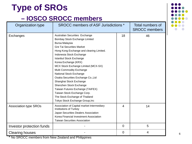### **Type of SROs**

#### **– IOSCO SROCC members**

| Organization type            | <b>SROCC members of ASF Jurisdictions *</b>                                                                                                                                                                                                                                                                                                                                                                                                                                                                                                                                               |                | Total numbers of<br><b>SROCC</b> members |
|------------------------------|-------------------------------------------------------------------------------------------------------------------------------------------------------------------------------------------------------------------------------------------------------------------------------------------------------------------------------------------------------------------------------------------------------------------------------------------------------------------------------------------------------------------------------------------------------------------------------------------|----------------|------------------------------------------|
| Exchanges                    | Australian Securities Exchange<br>Bombay Stock Exchange Limited<br>Bursa Malaysia<br><b>Gre Tai Securities Market</b><br>Hong Kong Exchange and clearing Limited.<br>Indonesia Stock Exchange<br><b>Istanbul Stock Exchange</b><br>Korea Exchange (KRX)<br>MCX Stock Exchange Limited (MCX-SX)<br>Multi Commodity Exchange<br>National Stock Exchange<br>Osaka Securities Exchange Co., Ltd<br>Shanghai Stock Exchange<br>Shenzhen Stock Exchange<br>Taiwan Futures Exchange (TAIFEX)<br>Taiwan Stock Exchange Corp.<br>The Stock Exchange of Thailand<br>Tokyo Stock Exchange Group, Inc | 18             | 46                                       |
| <b>Association type SROs</b> | Association of Capital market Intermediary<br>Institutions of Turkey<br>Japan Securities Dealers Association<br>Korea Financial Investment Association<br><b>Taiwan Securities Association</b>                                                                                                                                                                                                                                                                                                                                                                                            | $\overline{4}$ | 14                                       |
| Investor protection funds    |                                                                                                                                                                                                                                                                                                                                                                                                                                                                                                                                                                                           | $\Omega$       | 5                                        |
| <b>Clearing houses</b>       |                                                                                                                                                                                                                                                                                                                                                                                                                                                                                                                                                                                           | $\mathbf 0$    | $\overline{4}$                           |

\* No SROCC members from New Zealand and Philippines

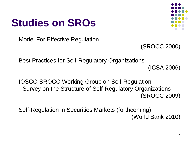## **Studies on SROs**



**I** Model For Effective Regulation

(SROCC 2000)

**Best Practices for Self-Regulatory Organizations** 

(ICSA 2006)

**I IOSCO SROCC Working Group on Self-Regulation** - Survey on the Structure of Self-Regulatory Organizations-

(SROCC 2009)

**I** Self-Regulation in Securities Markets (forthcoming) (World Bank 2010)